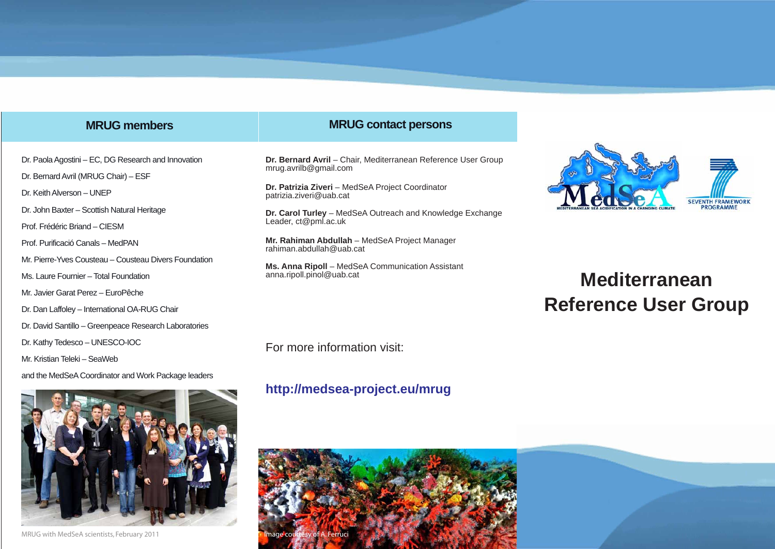# **MRUG members**

Dr. Paola Agostini – EC, DG Research and Innovation

Mr. Pierre-Yves Cousteau – Cousteau Divers Foundation

Dr. David Santillo – Greenpeace Research Laboratories

and the MedSeA Coordinator and Work Package leaders

Dr. Bernard Avril (MRUG Chair) – ESF

Ms. Laure Fournier – Total Foundation Mr. Javier Garat Perez – EuroPêche

Dr. Kathy Tedesco – UNESCO-IOC

Mr. Kristian Teleki – SeaWeb

Dr. Dan Laffoley – International OA-RUG Chair

Dr. John Baxter – Scottish Natural Heritage

Dr. Keith Alverson – UNEP

Prof. Frédéric Briand – CIESM Prof. Purificació Canals – MedPAN

#### **MRUG contact persons**

**Dr. Bernard Avril** – Chair, Mediterranean Reference User Group mrug.avrilb@gmail.com

**Dr. Patrizia Ziveri** – MedSeA Project Coordinator patrizia.ziveri@uab.cat

**Dr. Carol Turley** – MedSeA Outreach and Knowledge Exchange Leader, ct@pml.ac.uk

**Mr. Rahiman Abdullah** – MedSeA Project Manager rahiman.abdullah@uab.cat

**Ms. Anna Ripoll** – MedSeA Communication Assistant anna.ripoll.pinol@uab.cat



# **Mediterranean Reference User Group**

For more information visit:

# **http://medsea-project.eu/mrug**





MRUG with MedSeA scientists, February 2011